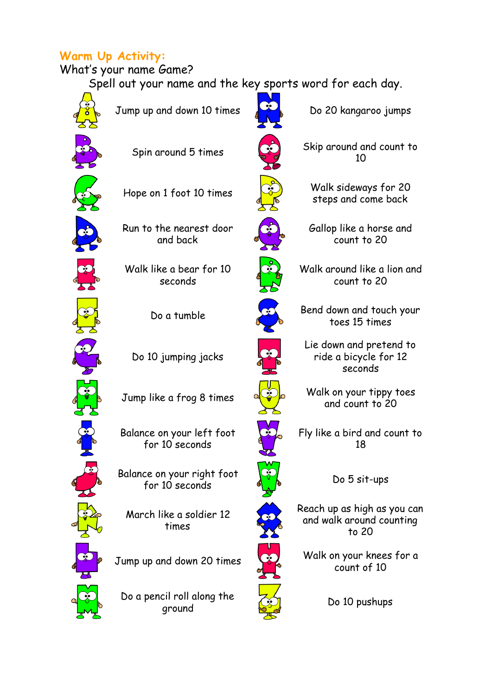# **Warm Up Activity:**

## What's your name Game?

Spell out your name and the key sports word for each day.



Jump up and down 10 times  $\frac{1}{2}$  Do 20 kangaroo jumps

Run to the nearest door and back

Walk like a bear for 10 seconds

Do 10 jumping jacks

Balance on your left foot for 10 seconds

Balance on your right foot for 10 seconds  $\sqrt[n]{b}$  Do 5 sit-ups

March like a soldier 12 times

Do a pencil roll along the  $\frac{1}{2}$  Do 10 pushups



Spin around 5 times  $\overline{S}$  Skip around and count to 10

Hope on 1 foot 10 times  $\qquad \qquad \qquad$  Walk sideways for 20 steps and come back

> Gallop like a horse and count to 20

Walk around like a lion and count to 20

Do a tumble **Bend down and touch your** toes 15 times

> Lie down and pretend to ride a bicycle for 12 seconds

Jump like a frog 8 times  $\sqrt{Q}$  Walk on your tippy toes and count to 20

> Fly like a bird and count to 18

Reach up as high as you can and walk around counting to 20

Jump up and down 20 times  $\left\{\begin{matrix} \bullet \\ \bullet \end{matrix}\right\}$  Walk on your knees for a count of 10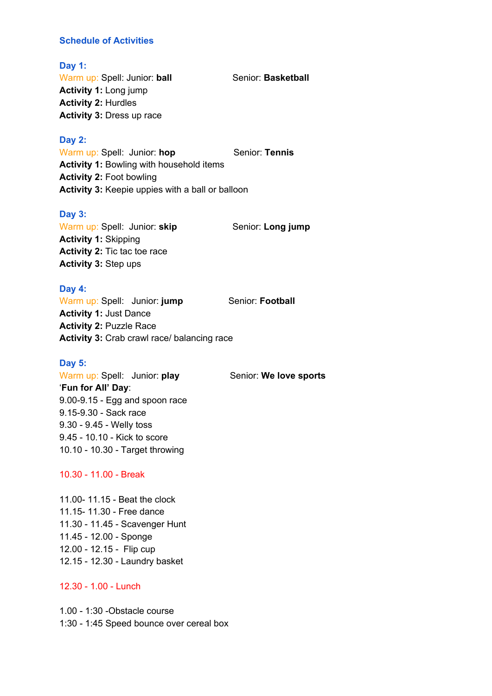#### **Schedule of Activities**

#### **Day 1:**

Warm up: Spell: Junior: ball Senior: Basketball **Activity 1:** Long jump **Activity 2:** Hurdles **Activity 3:** Dress up race

#### **Day 2:**

Warm up: Spell: Junior: hop Senior: Tennis **Activity 1:** Bowling with household items **Activity 2:** Foot bowling **Activity 3:** Keepie uppies with a ball or balloon

#### **Day 3:**

Warm up: Spell: Junior: **skip** Senior: Long jump **Activity 1:** Skipping **Activity 2:** Tic tac toe race **Activity 3:** Step ups

## **Day 4:**

Warm up: Spell: Junior: **jump** Senior: **Football Activity 1:** Just Dance **Activity 2:** Puzzle Race **Activity 3:** Crab crawl race/ balancing race

#### **Day 5:**

Warm up: Spell: Junior: play Senior: We love sports '**Fun for All' Day**: 9.00-9.15 - Egg and spoon race 9.15-9.30 - Sack race 9.30 - 9.45 - Welly toss 9.45 - 10.10 - Kick to score 10.10 - 10.30 - Target throwing

#### 10.30 - 11.00 - Break

11.00- 11.15 - Beat the clock 11.15- 11.30 - Free dance 11.30 - 11.45 - Scavenger Hunt 11.45 - 12.00 - Sponge 12.00 - 12.15 - Flip cup 12.15 - 12.30 - Laundry basket

#### 12.30 - 1.00 - Lunch

1.00 - 1:30 -Obstacle course 1:30 - 1:45 Speed bounce over cereal box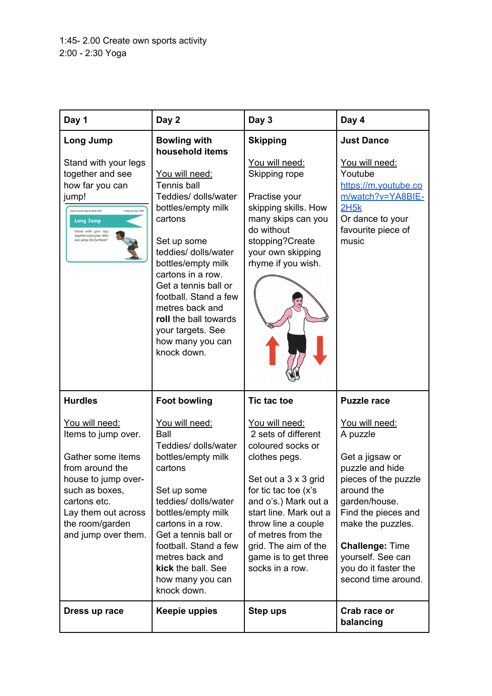| Day 1                                                                                                                                                                                                     | Day 2                                                                                                                                                                                                                                                                                                                                                                          | Day 3                                                                                                                                                                                                                                                                                         | Day 4                                                                                                                                                                                                                                                             |
|-----------------------------------------------------------------------------------------------------------------------------------------------------------------------------------------------------------|--------------------------------------------------------------------------------------------------------------------------------------------------------------------------------------------------------------------------------------------------------------------------------------------------------------------------------------------------------------------------------|-----------------------------------------------------------------------------------------------------------------------------------------------------------------------------------------------------------------------------------------------------------------------------------------------|-------------------------------------------------------------------------------------------------------------------------------------------------------------------------------------------------------------------------------------------------------------------|
| Long Jump<br>Stand with your legs<br>together and see<br>how far you can<br>jump!<br>Friday 5th June 2020<br><b>Long Jump</b><br>Stand with your legs<br>together and jump. Who<br>can jump the furthest? | <b>Bowling with</b><br>household items<br>You will need:<br><b>Tennis ball</b><br>Teddies/ dolls/water<br>bottles/empty milk<br>cartons<br>Set up some<br>teddies/ dolls/water<br>bottles/empty milk<br>cartons in a row.<br>Get a tennis ball or<br>football. Stand a few<br>metres back and<br>roll the ball towards<br>your targets. See<br>how many you can<br>knock down. | <b>Skipping</b><br>You will need:<br>Skipping rope<br>Practise your<br>skipping skills. How<br>many skips can you<br>do without<br>stopping?Create<br>your own skipping<br>rhyme if you wish.                                                                                                 | <b>Just Dance</b><br>You will need:<br>Youtube<br>https://m.youtube.co<br>m/watch?v=YA8BIE-<br>2H5k<br>Or dance to your<br>favourite piece of<br>music                                                                                                            |
| <b>Hurdles</b>                                                                                                                                                                                            | <b>Foot bowling</b>                                                                                                                                                                                                                                                                                                                                                            | <b>Tic tac toe</b>                                                                                                                                                                                                                                                                            | <b>Puzzle race</b>                                                                                                                                                                                                                                                |
| You will need:<br>Items to jump over.<br>Gather some items<br>from around the<br>house to jump over-<br>such as boxes,<br>cartons etc.<br>Lay them out across<br>the room/garden<br>and jump over them.   | You will need:<br>Ball<br>Teddies/ dolls/water<br>bottles/empty milk<br>cartons<br>Set up some<br>teddies/ dolls/water<br>bottles/empty milk<br>cartons in a row.<br>Get a tennis ball or<br>football. Stand a few<br>metres back and<br>kick the ball. See<br>how many you can<br>knock down.                                                                                 | You will need:<br>2 sets of different<br>coloured socks or<br>clothes pegs.<br>Set out a 3 x 3 grid<br>for tic tac toe (x's<br>and o's.) Mark out a<br>start line. Mark out a<br>throw line a couple<br>of metres from the<br>grid. The aim of the<br>game is to get three<br>socks in a row. | You will need:<br>A puzzle<br>Get a jigsaw or<br>puzzle and hide<br>pieces of the puzzle<br>around the<br>garden/house.<br>Find the pieces and<br>make the puzzles.<br><b>Challenge: Time</b><br>yourself. See can<br>you do it faster the<br>second time around. |
| Dress up race                                                                                                                                                                                             | Keepie uppies                                                                                                                                                                                                                                                                                                                                                                  | Step ups                                                                                                                                                                                                                                                                                      | Crab race or<br>balancing                                                                                                                                                                                                                                         |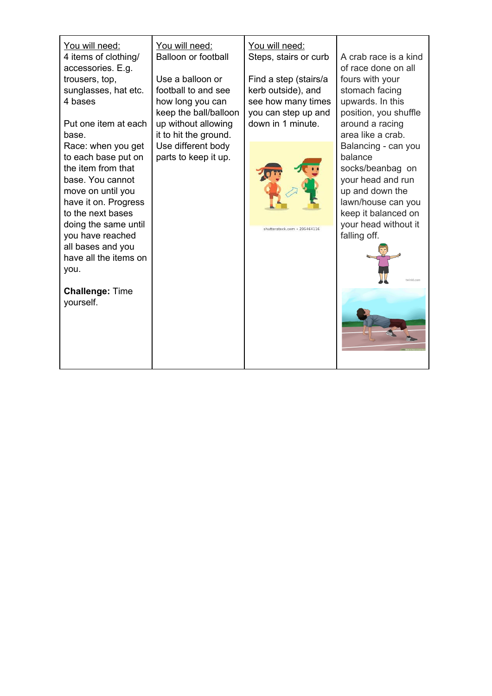| You will need:<br>4 items of clothing/<br>accessories. E.g.<br>trousers, top,<br>sunglasses, hat etc.<br>4 bases<br>Put one item at each<br>base.                                                                                                       | You will need:<br><b>Balloon or football</b><br>Use a balloon or<br>football to and see<br>how long you can<br>keep the ball/balloon<br>up without allowing<br>it to hit the ground. | You will need:<br>Steps, stairs or curb<br>Find a step (stairs/a<br>kerb outside), and<br>see how many times<br>you can step up and<br>down in 1 minute. | A crab race is a kind<br>of race done on all<br>fours with your<br>stomach facing<br>upwards. In this<br>position, you shuffle<br>around a racing<br>area like a crab.                        |
|---------------------------------------------------------------------------------------------------------------------------------------------------------------------------------------------------------------------------------------------------------|--------------------------------------------------------------------------------------------------------------------------------------------------------------------------------------|----------------------------------------------------------------------------------------------------------------------------------------------------------|-----------------------------------------------------------------------------------------------------------------------------------------------------------------------------------------------|
| Race: when you get<br>to each base put on<br>the item from that<br>base. You cannot<br>move on until you<br>have it on. Progress<br>to the next bases<br>doing the same until<br>you have reached<br>all bases and you<br>have all the items on<br>you. | Use different body<br>parts to keep it up.                                                                                                                                           | shutterstock.com · 295464116                                                                                                                             | Balancing - can you<br>balance<br>socks/beanbag on<br>your head and run<br>up and down the<br>lawn/house can you<br>keep it balanced on<br>your head without it<br>falling off.<br>twinkl.com |
| <b>Challenge: Time</b><br>yourself.                                                                                                                                                                                                                     |                                                                                                                                                                                      |                                                                                                                                                          |                                                                                                                                                                                               |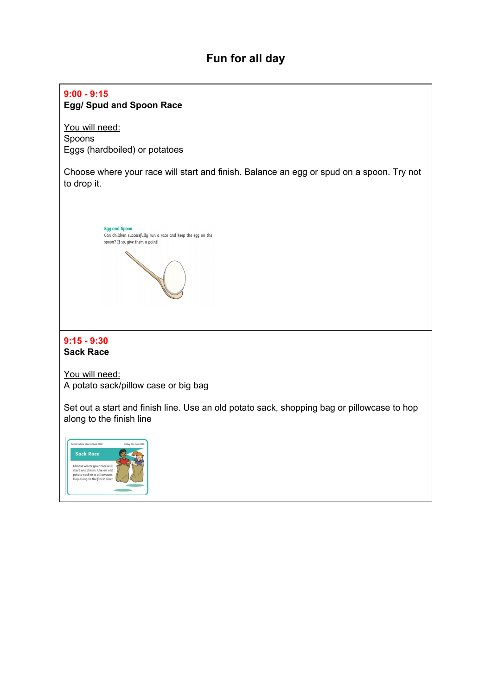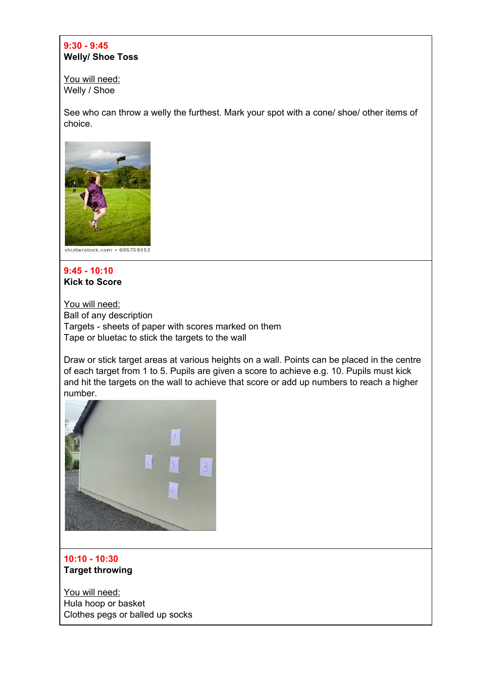## **9:30 - 9:45 Welly/ Shoe Toss**

You will need: Welly / Shoe

See who can throw a welly the furthest. Mark your spot with a cone/ shoe/ other items of choice.



#### **9:45 - 10:10 Kick to Score**

You will need: Ball of any description Targets - sheets of paper with scores marked on them Tape or bluetac to stick the targets to the wall

Draw or stick target areas at various heights on a wall. Points can be placed in the centre of each target from 1 to 5. Pupils are given a score to achieve e.g. 10. Pupils must kick and hit the targets on the wall to achieve that score or add up numbers to reach a higher number.



## **10:10 - 10:30 Target throwing**

You will need: Hula hoop or basket Clothes pegs or balled up socks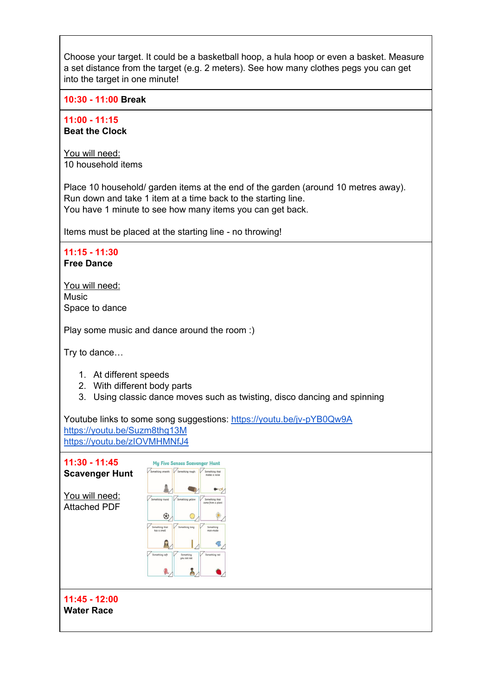| Choose your target. It could be a basketball hoop, a hula hoop or even a basket. Measure<br>a set distance from the target (e.g. 2 meters). See how many clothes pegs you can get<br>into the target in one minute! |
|---------------------------------------------------------------------------------------------------------------------------------------------------------------------------------------------------------------------|
| 10:30 - 11:00 Break                                                                                                                                                                                                 |

**11:00 - 11:15**

**Beat the Clock**

You will need: 10 household items

Place 10 household/ garden items at the end of the garden (around 10 metres away). Run down and take 1 item at a time back to the starting line. You have 1 minute to see how many items you can get back.

Items must be placed at the starting line - no throwing!

**11:15 - 11:30 Free Dance**

You will need: Music Space to dance

Play some music and dance around the room :)

Try to dance…

- 1. At different speeds
- 2. With different body parts
- 3. Using classic dance moves such as twisting, disco dancing and spinning

Youtube links to some song suggestions: <https://youtu.be/jv-pYB0Qw9A> <https://youtu.be/Suzm8thg13M> <https://youtu.be/zIOVMHMNfJ4>

| $11:30 - 11:45$                       | <b>My Five Senses Scavenger Hunt</b>                                                         |
|---------------------------------------|----------------------------------------------------------------------------------------------|
| <b>Scavenger Hunt</b>                 | Something smooth<br>Something rough<br>Something that<br>makes a noise                       |
| You will need:<br><b>Attached PDF</b> | $\bullet$<br>Something round<br>Something yellow<br>Something that<br>came from a plant<br>⊕ |
|                                       | Something that<br>Something long<br>Something                                                |
|                                       | has a smell<br>man-made<br>R,<br>B                                                           |
|                                       | Something soft<br>Something red<br>Something<br>you can eat<br>飍,<br>ê                       |
|                                       |                                                                                              |
| 11:45 - 12:00<br><b>Water Race</b>    |                                                                                              |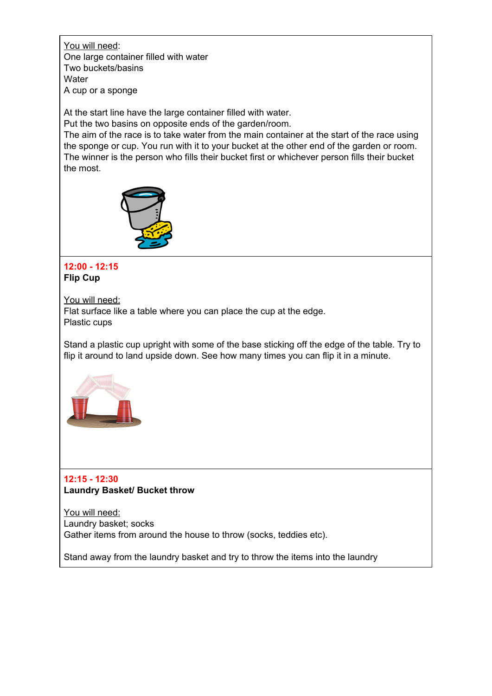You will need: One large container filled with water Two buckets/basins **Water** A cup or a sponge

At the start line have the large container filled with water. Put the two basins on opposite ends of the garden/room. The aim of the race is to take water from the main container at the start of the race using the sponge or cup. You run with it to your bucket at the other end of the garden or room. The winner is the person who fills their bucket first or whichever person fills their bucket the most.



#### **12:00 - 12:15 Flip Cup**

You will need:

Flat surface like a table where you can place the cup at the edge. Plastic cups

Stand a plastic cup upright with some of the base sticking off the edge of the table. Try to flip it around to land upside down. See how many times you can flip it in a minute.



## **12:15 - 12:30 Laundry Basket/ Bucket throw**

You will need: Laundry basket; socks Gather items from around the house to throw (socks, teddies etc).

Stand away from the laundry basket and try to throw the items into the laundry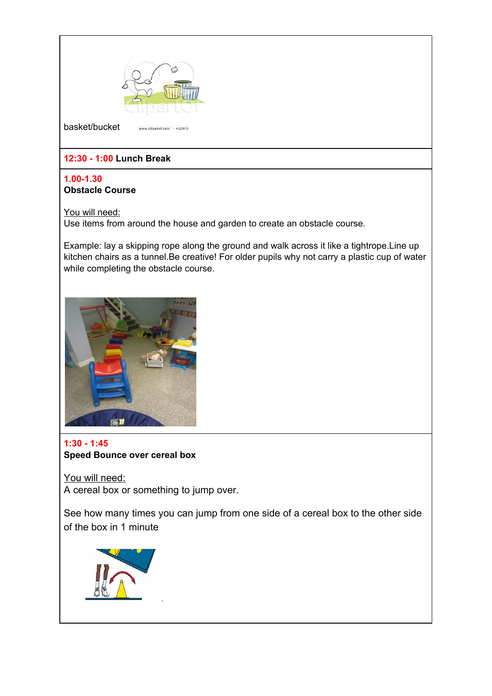

## **12:30 - 1:00 Lunch Break**

#### **1.00-1.30 Obstacle Course**

You will need:

Use items from around the house and garden to create an obstacle course.

Example: lay a skipping rope along the ground and walk across it like a tightrope.Line up kitchen chairs as a tunnel.Be creative! For older pupils why not carry a plastic cup of water while completing the obstacle course.



## **1:30 - 1:45 Speed Bounce over cereal box**

You will need: A cereal box or something to jump over.

.

See how many times you can jump from one side of a cereal box to the other side of the box in 1 minute